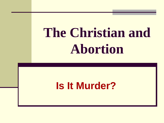# **The Christian and Abortion**

### **Is It Murder?**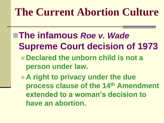- **The infamous** *Roe v. Wade*  **Supreme Court decision of 1973**
	- **Declared the unborn child is not a person under law.**
	- **A right to privacy under the due process clause of the 14th Amendment extended to a woman's decision to have an abortion.**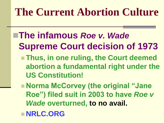- **The infamous** *Roe v. Wade*  **Supreme Court decision of 1973 Thus, in one ruling, the Court deemed abortion a fundamental right under the US Constitution!**
	- Norma McCorvey (the original "Jane **Roe") filed suit in 2003 to have** *Roe v Wade* **overturned, to no avail.**
	- **NRLC.ORG**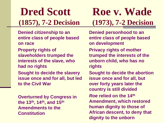# **Dred Scott Roe v. Wade (1857), 7-2 Decision (1973), 7-2 Decision**

**Denied citizenship to an entire class of people based on race**

**Property rights of slaveholders trumped the interests of the slave, who had no rights**

**Sought to decide the slavery issue once and for all, but led to the Civil War**

**Overturned by Congress in the 13th, 14th, and 15th Amendments to the Constitution**

**Denied personhood to an entire class of people based on development Privacy rights of mother trumped the interests of the unborn child, who has no rights Sought to decide the abortion issue once and for all, but** 

**over forty years later the country is still divided** *Roe* **relied on the 14th Amendment, which restored human dignity to those of African descent, to deny that dignity to the unborn**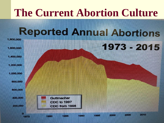# **Abortion**

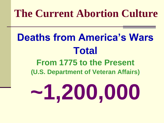# **Deaths from America's Wars Total**

#### **From 1775 to the Present (U.S. Department of Veteran Affairs)**

# **~1,200,000**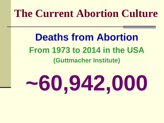**Deaths from Abortion From 1973 to 2014 in the USA (Guttmacher Institute)**

# **~60,942,000**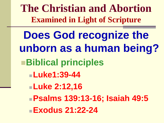**The Christian and Abortion Examined in Light of Scripture**

**Does God recognize the unborn as a human being? Biblical principles Luke1:39-44 Luke 2:12,16 Psalms 139:13-16; Isaiah 49:5 Exodus 21:22-24**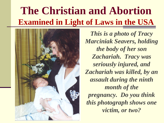# **The Christian and Abortion Examined in Light of Laws in the USA**



*This is a photo of Tracy Marciniak Seavers, holding the body of her son Zachariah. Tracy was seriously injured, and Zachariah was killed, by an assault during the ninth month of the pregnancy. Do you think this photograph shows one victim, or two?*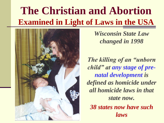# **The Christian and Abortion Examined in Light of Laws in the USA**



*Wisconsin State Law changed in 1998*

*The killing of an "unborn child" at any stage of prenatal development is defined as homicide under all homicide laws in that state now. 38 states now have such laws*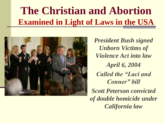# **The Christian and Abortion Examined in Light of Laws in the USA**



*President Bush signed Unborn Victims of Violence Act into law April 6, 2004 Called the "Laci and Conner" bill Scott Peterson convicted of double homicide under California law*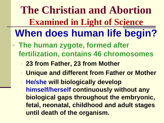**The Christian and Abortion Examined in Light of Science When does human life begin?**

- **The human zygote, formed after fertilization, contains 46 chromosomes**
	- **23 from Father, 23 from Mother**
	- **Unique and different from Father or Mother**
	- **He/she will biologically develop himself/herself continuously without any biological gaps throughout the embryonic, fetal, neonatal, childhood and adult stages until death of the organism.**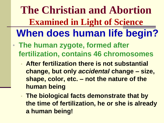**The Christian and Abortion Examined in Light of Science When does human life begin?**

- **The human zygote, formed after fertilization, contains 46 chromosomes**
	- **After fertilization there is not substantial change, but only** *accidental* **change – size, shape, color, etc. – not the nature of the human being**
	- **The biological facts demonstrate that by the time of fertilization, he or she is already a human being!**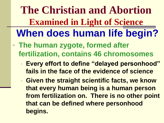**The Christian and Abortion Examined in Light of Science When does human life begin?**

- **The human zygote, formed after fertilization, contains 46 chromosomes**
	- **Every effort to define "delayed personhood" fails in the face of the evidence of science**
	- **Given the straight scientific facts, we know that every human being is a human person from fertilization on. There is no other point that can be defined where personhood begins.**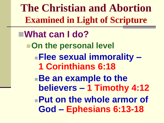**The Christian and Abortion Examined in Light of Scripture**

**What can I do? On the personal level Flee sexual immorality – 1 Corinthians 6:18 Be an example to the believers – 1 Timothy 4:12 Put on the whole armor of God – Ephesians 6:13-18**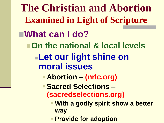**The Christian and Abortion Examined in Light of Scripture**

#### **What can I do?**

- **On the national & local levels** 
	- **Let our light shine on moral issues**
		- **Abortion – (nrlc.org)**
		- **Sacred Selections (sacredselections.org)**
			- **With a godly spirit show a better way**
			- **Provide for adoption**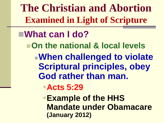**The Christian and Abortion Examined in Light of Scripture**

#### **What can I do?**

- **On the national & local levels** 
	- **When challenged to violate Scriptural principles, obey God rather than man.**

**Acts 5:29**

**Example of the HHS Mandate under Obamacare (January 2012)**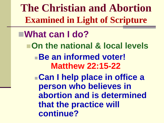**The Christian and Abortion Examined in Light of Scripture**

**What can I do? On the national & local levels Be an informed voter! Matthew 22:15-22 Can I help place in office a person who believes in abortion and is determined that the practice will continue?**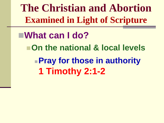**The Christian and Abortion Examined in Light of Scripture**

**What can I do? On the national & local levels Pray for those in authority 1 Timothy 2:1-2**